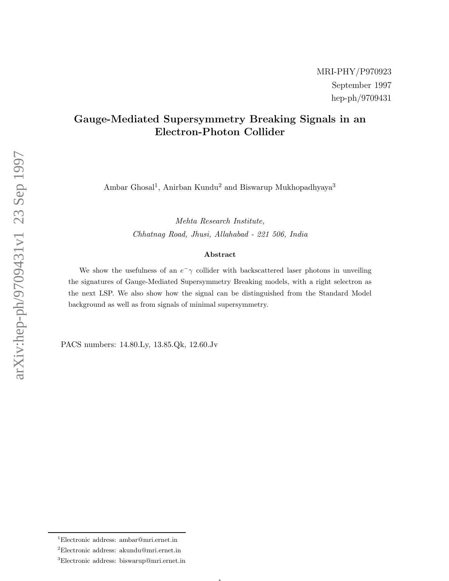# Gauge-Mediated Supersymmetry Breaking Signals in an Electron-Photon Collider

Ambar Ghosal<sup>1</sup>, Anirban Kundu<sup>2</sup> and Biswarup Mukhopadhyaya<sup>3</sup>

Mehta Research Institute, Chhatnag Road, Jhusi, Allahabad - 221 506, India

#### Abstract

We show the usefulness of an  $e^-\gamma$  collider with backscattered laser photons in unveiling the signatures of Gauge-Mediated Supersymmetry Breaking models, with a right selectron as the next LSP. We also show how the signal can be distinguished from the Standard Model background as well as from signals of minimal supersymmetry.

 $\mathbf{1}$ 

PACS numbers: 14.80.Ly, 13.85.Qk, 12.60.Jv

<sup>1</sup>Electronic address: ambar@mri.ernet.in

<sup>2</sup>Electronic address: akundu@mri.ernet.in

<sup>3</sup>Electronic address: biswarup@mri.ernet.in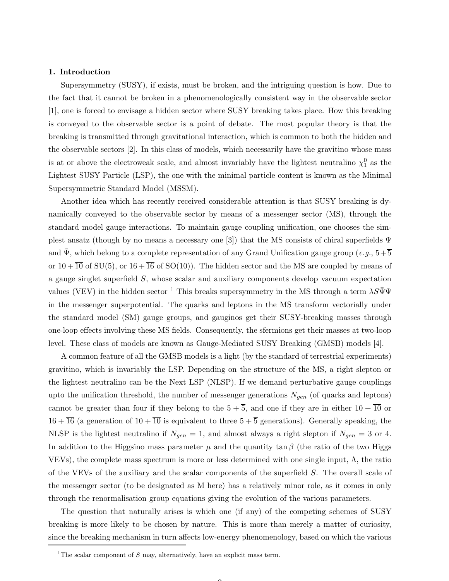#### 1. Introduction

Supersymmetry (SUSY), if exists, must be broken, and the intriguing question is how. Due to the fact that it cannot be broken in a phenomenologically consistent way in the observable sector [1], one is forced to envisage a hidden sector where SUSY breaking takes place. How this breaking is conveyed to the observable sector is a point of debate. The most popular theory is that the breaking is transmitted through gravitational interaction, which is common to both the hidden and the observable sectors [2]. In this class of models, which necessarily have the gravitino whose mass is at or above the electroweak scale, and almost invariably have the lightest neutralino  $\chi_1^0$  as the Lightest SUSY Particle (LSP), the one with the minimal particle content is known as the Minimal Supersymmetric Standard Model (MSSM).

Another idea which has recently received considerable attention is that SUSY breaking is dynamically conveyed to the observable sector by means of a messenger sector (MS), through the standard model gauge interactions. To maintain gauge coupling unification, one chooses the simplest ansatz (though by no means a necessary one [3]) that the MS consists of chiral superfields Ψ and  $\bar{\Psi}$ , which belong to a complete representation of any Grand Unification gauge group (e.g.,  $5+\bar{5}$ ) or  $10+\overline{10}$  of SU(5), or  $16+\overline{16}$  of SO(10)). The hidden sector and the MS are coupled by means of a gauge singlet superfield S, whose scalar and auxiliary components develop vacuum expectation values (VEV) in the hidden sector <sup>1</sup> This breaks supersymmetry in the MS through a term  $\lambda S\bar{\Psi}\Psi$ in the messenger superpotential. The quarks and leptons in the MS transform vectorially under the standard model (SM) gauge groups, and gauginos get their SUSY-breaking masses through one-loop effects involving these MS fields. Consequently, the sfermions get their masses at two-loop level. These class of models are known as Gauge-Mediated SUSY Breaking (GMSB) models [4].

A common feature of all the GMSB models is a light (by the standard of terrestrial experiments) gravitino, which is invariably the LSP. Depending on the structure of the MS, a right slepton or the lightest neutralino can be the Next LSP (NLSP). If we demand perturbative gauge couplings upto the unification threshold, the number of messenger generations  $N_{gen}$  (of quarks and leptons) cannot be greater than four if they belong to the  $5 + \overline{5}$ , and one if they are in either  $10 + \overline{10}$  or  $16 + \overline{16}$  (a generation of  $10 + \overline{10}$  is equivalent to three  $5 + \overline{5}$  generations). Generally speaking, the NLSP is the lightest neutralino if  $N_{gen} = 1$ , and almost always a right slepton if  $N_{gen} = 3$  or 4. In addition to the Higgsino mass parameter  $\mu$  and the quantity tan  $\beta$  (the ratio of the two Higgs VEVs), the complete mass spectrum is more or less determined with one single input,  $\Lambda$ , the ratio of the VEVs of the auxiliary and the scalar components of the superfield S. The overall scale of the messenger sector (to be designated as M here) has a relatively minor role, as it comes in only through the renormalisation group equations giving the evolution of the various parameters.

The question that naturally arises is which one (if any) of the competing schemes of SUSY breaking is more likely to be chosen by nature. This is more than merely a matter of curiosity, since the breaking mechanism in turn affects low-energy phenomenology, based on which the various

<sup>&</sup>lt;sup>1</sup>The scalar component of S may, alternatively, have an explicit mass term.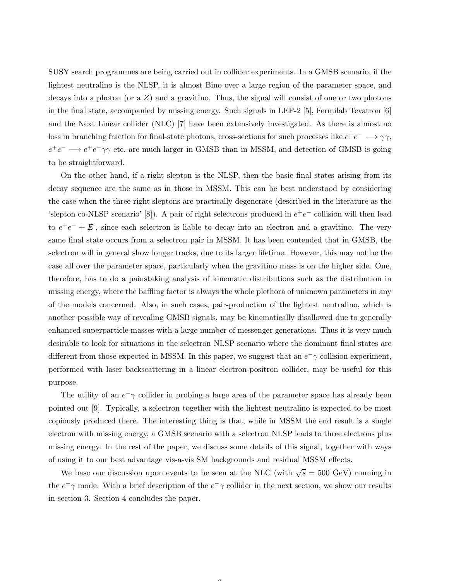SUSY search programmes are being carried out in collider experiments. In a GMSB scenario, if the lightest neutralino is the NLSP, it is almost Bino over a large region of the parameter space, and decays into a photon (or a  $Z$ ) and a gravitino. Thus, the signal will consist of one or two photons in the final state, accompanied by missing energy. Such signals in LEP-2 [5], Fermilab Tevatron [6] and the Next Linear collider (NLC) [7] have been extensively investigated. As there is almost no loss in branching fraction for final-state photons, cross-sections for such processes like  $e^+e^- \longrightarrow \gamma\gamma$ ,  $e^+e^- \longrightarrow e^+e^-\gamma\gamma$  etc. are much larger in GMSB than in MSSM, and detection of GMSB is going to be straightforward.

On the other hand, if a right slepton is the NLSP, then the basic final states arising from its decay sequence are the same as in those in MSSM. This can be best understood by considering the case when the three right sleptons are practically degenerate (described in the literature as the 'slepton co-NLSP scenario' [8]). A pair of right selectrons produced in  $e^+e^-$  collision will then lead to  $e^+e^- + \not{E}$ , since each selectron is liable to decay into an electron and a gravitino. The very same final state occurs from a selectron pair in MSSM. It has been contended that in GMSB, the selectron will in general show longer tracks, due to its larger lifetime. However, this may not be the case all over the parameter space, particularly when the gravitino mass is on the higher side. One, therefore, has to do a painstaking analysis of kinematic distributions such as the distribution in missing energy, where the baffling factor is always the whole plethora of unknown parameters in any of the models concerned. Also, in such cases, pair-production of the lightest neutralino, which is another possible way of revealing GMSB signals, may be kinematically disallowed due to generally enhanced superparticle masses with a large number of messenger generations. Thus it is very much desirable to look for situations in the selectron NLSP scenario where the dominant final states are different from those expected in MSSM. In this paper, we suggest that an  $e^-\gamma$  collision experiment, performed with laser backscattering in a linear electron-positron collider, may be useful for this purpose.

The utility of an  $e^{\frac{-}{\gamma}}$  collider in probing a large area of the parameter space has already been pointed out [9]. Typically, a selectron together with the lightest neutralino is expected to be most copiously produced there. The interesting thing is that, while in MSSM the end result is a single electron with missing energy, a GMSB scenario with a selectron NLSP leads to three electrons plus missing energy. In the rest of the paper, we discuss some details of this signal, together with ways of using it to our best advantage vis-a-vis SM backgrounds and residual MSSM effects.

We base our discussion upon events to be seen at the NLC (with  $\sqrt{s} = 500 \text{ GeV}$ ) running in the  $e^-\gamma$  mode. With a brief description of the  $e^-\gamma$  collider in the next section, we show our results in section 3. Section 4 concludes the paper.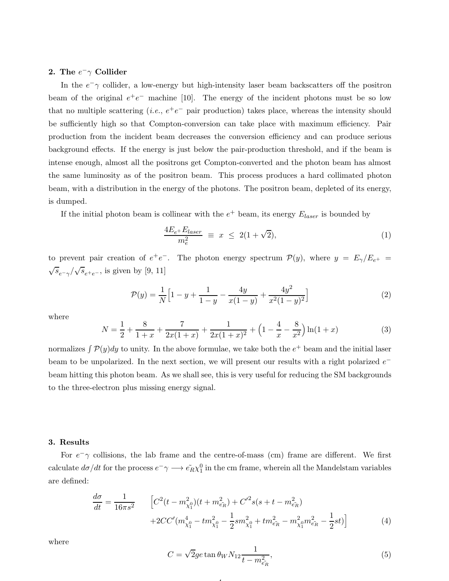### 2. The  $e^-\gamma$  Collider

In the  $e^-\gamma$  collider, a low-energy but high-intensity laser beam backscatters off the positron beam of the original  $e^+e^-$  machine [10]. The energy of the incident photons must be so low that no multiple scattering (*i.e.*,  $e^+e^-$  pair production) takes place, whereas the intensity should be sufficiently high so that Compton-conversion can take place with maximum efficiency. Pair production from the incident beam decreases the conversion efficiency and can produce serious background effects. If the energy is just below the pair-production threshold, and if the beam is intense enough, almost all the positrons get Compton-converted and the photon beam has almost the same luminosity as of the positron beam. This process produces a hard collimated photon beam, with a distribution in the energy of the photons. The positron beam, depleted of its energy, is dumped.

If the initial photon beam is collinear with the  $e^+$  beam, its energy  $E_{laser}$  is bounded by

$$
\frac{4E_{e^+}E_{laser}}{m_e^2} \equiv x \le 2(1+\sqrt{2}),\tag{1}
$$

to prevent pair creation of  $e^+e^-$ . The photon energy spectrum  $\mathcal{P}(y)$ , where  $y = E_{\gamma}/E_{e^+}$  $\sqrt{s}_{e^-\gamma}/\sqrt{s}_{e^+e^-}$ , is given by [9, 11]

$$
\mathcal{P}(y) = \frac{1}{N} \Big[ 1 - y + \frac{1}{1 - y} - \frac{4y}{x(1 - y)} + \frac{4y^2}{x^2(1 - y)^2} \Big] \tag{2}
$$

where

$$
N = \frac{1}{2} + \frac{8}{1+x} + \frac{7}{2x(1+x)} + \frac{1}{2x(1+x)^2} + \left(1 - \frac{4}{x} - \frac{8}{x^2}\right)\ln(1+x)
$$
(3)

normalizes  $\int \mathcal{P}(y)dy$  to unity. In the above formulae, we take both the  $e^+$  beam and the initial laser beam to be unpolarized. In the next section, we will present our results with a right polarized  $e^$ beam hitting this photon beam. As we shall see, this is very useful for reducing the SM backgrounds to the three-electron plus missing energy signal.

#### 3. Results

For  $e^-\gamma$  collisions, the lab frame and the centre-of-mass (cm) frame are different. We first calculate  $d\sigma/dt$  for the process  $e^- \gamma \longrightarrow \tilde{e_R} \chi_1^0$  in the cm frame, wherein all the Mandelstam variables are defined:

4

$$
\frac{d\sigma}{dt} = \frac{1}{16\pi s^2} \qquad \left[ C^2 (t - m_{\chi_1^0}^2)(t + m_{\tilde{e_R}}^2) + C'^2 s (s + t - m_{\tilde{e_R}}^2) + 2CC'(m_{\chi_1^0}^4 - t m_{\chi_1^0}^2 - \frac{1}{2} s m_{\chi_1^0}^2 + t m_{\tilde{e_R}}^2 - m_{\chi_1^0}^2 m_{\tilde{e_R}}^2 - \frac{1}{2} s t) \right]
$$
(4)

where

$$
C = \sqrt{2}ge \tan \theta_W N_{12} \frac{1}{t - m_{\tilde{e}_R}^2},\tag{5}
$$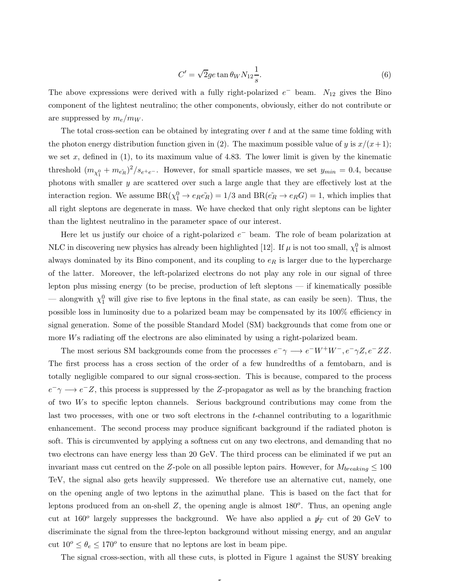$$
C' = \sqrt{2}ge \tan \theta_W N_{12} \frac{1}{s}.\tag{6}
$$

The above expressions were derived with a fully right-polarized  $e^-$  beam.  $N_{12}$  gives the Bino component of the lightest neutralino; the other components, obviously, either do not contribute or are suppressed by  $m_e/m_W$ .

The total cross-section can be obtained by integrating over  $t$  and at the same time folding with the photon energy distribution function given in (2). The maximum possible value of y is  $x/(x+1)$ ; we set  $x$ , defined in  $(1)$ , to its maximum value of 4.83. The lower limit is given by the kinematic threshold  $(m_{\chi_1^0} + m_{\tilde{e_R}})^2/s_{e^+e^-}$ . However, for small sparticle masses, we set  $y_{min} = 0.4$ , because photons with smaller y are scattered over such a large angle that they are effectively lost at the interaction region. We assume  $BR(\chi_1^0 \to e_R \tilde{e_R}) = 1/3$  and  $BR(\tilde{e_R} \to e_R G) = 1$ , which implies that all right sleptons are degenerate in mass. We have checked that only right sleptons can be lighter than the lightest neutralino in the parameter space of our interest.

Here let us justify our choice of a right-polarized  $e^-$  beam. The role of beam polarization at NLC in discovering new physics has already been highlighted [12]. If  $\mu$  is not too small,  $\chi_1^0$  is almost always dominated by its Bino component, and its coupling to  $e_R$  is larger due to the hypercharge of the latter. Moreover, the left-polarized electrons do not play any role in our signal of three lepton plus missing energy (to be precise, production of left sleptons — if kinematically possible — alongwith  $\chi_1^0$  will give rise to five leptons in the final state, as can easily be seen). Thus, the possible loss in luminosity due to a polarized beam may be compensated by its 100% efficiency in signal generation. Some of the possible Standard Model (SM) backgrounds that come from one or more Ws radiating off the electrons are also eliminated by using a right-polarized beam.

The most serious SM backgrounds come from the processes  $e^- \gamma \longrightarrow e^- W^+ W^-, e^- \gamma Z, e^- Z Z$ . The first process has a cross section of the order of a few hundredths of a femtobarn, and is totally negligible compared to our signal cross-section. This is because, compared to the process  $e^-\gamma \longrightarrow e^-Z$ , this process is suppressed by the Z-propagator as well as by the branching fraction of two Ws to specific lepton channels. Serious background contributions may come from the last two processes, with one or two soft electrons in the t-channel contributing to a logarithmic enhancement. The second process may produce significant background if the radiated photon is soft. This is circumvented by applying a softness cut on any two electrons, and demanding that no two electrons can have energy less than 20 GeV. The third process can be eliminated if we put an invariant mass cut centred on the Z-pole on all possible lepton pairs. However, for  $M_{breaking} \leq 100$ TeV, the signal also gets heavily suppressed. We therefore use an alternative cut, namely, one on the opening angle of two leptons in the azimuthal plane. This is based on the fact that for leptons produced from an on-shell  $Z$ , the opening angle is almost  $180^{\circ}$ . Thus, an opening angle cut at 160<sup>o</sup> largely suppresses the background. We have also applied a  $p_T$  cut of 20 GeV to discriminate the signal from the three-lepton background without missing energy, and an angular cut  $10^{\circ} \leq \theta_e \leq 170^{\circ}$  to ensure that no leptons are lost in beam pipe.

The signal cross-section, with all these cuts, is plotted in Figure 1 against the SUSY breaking

5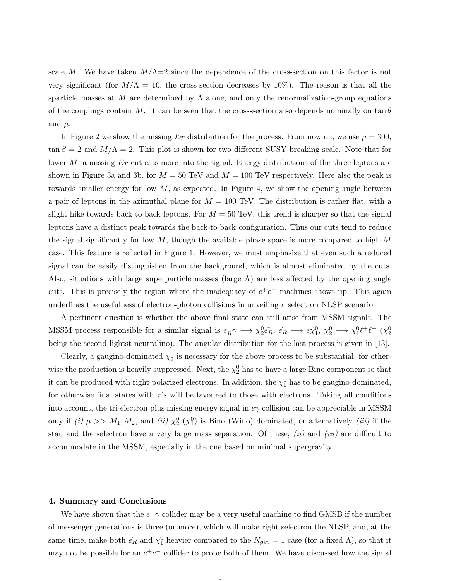scale M. We have taken  $M/\Lambda=2$  since the dependence of the cross-section on this factor is not very significant (for  $M/\Lambda = 10$ , the cross-section decreases by 10%). The reason is that all the sparticle masses at M are determined by  $\Lambda$  alone, and only the renormalization-group equations of the couplings contain M. It can be seen that the cross-section also depends nominally on  $\tan \theta$ and  $\mu$ .

In Figure 2 we show the missing  $E_T$  distribution for the process. From now on, we use  $\mu = 300$ ,  $\tan \beta = 2$  and  $M/\Lambda = 2$ . This plot is shown for two different SUSY breaking scale. Note that for lower M, a missing  $E_T$  cut eats more into the signal. Energy distributions of the three leptons are shown in Figure 3a and 3b, for  $M = 50$  TeV and  $M = 100$  TeV respectively. Here also the peak is towards smaller energy for low  $M$ , as expected. In Figure 4, we show the opening angle between a pair of leptons in the azimuthal plane for  $M = 100$  TeV. The distribution is rather flat, with a slight hike towards back-to-back leptons. For  $M = 50$  TeV, this trend is sharper so that the signal leptons have a distinct peak towards the back-to-back configuration. Thus our cuts tend to reduce the signal significantly for low  $M$ , though the available phase space is more compared to high- $M$ case. This feature is reflected in Figure 1. However, we must emphasize that even such a reduced signal can be easily distinguished from the background, which is almost eliminated by the cuts. Also, situations with large superparticle masses (large  $\Lambda$ ) are less affected by the opening angle cuts. This is precisely the region where the inadequacy of  $e^+e^-$  machines shows up. This again underlines the usefulness of electron-photon collisions in unveiling a selectron NLSP scenario.

A pertinent question is whether the above final state can still arise from MSSM signals. The MSSM process responsible for a similar signal is  $e_R^ E_R \gamma \longrightarrow \chi_2^0 e_R, \ \tilde{e}_R \longrightarrow e \chi_1^0, \ \chi_2^0 \longrightarrow \chi_1^0 \ell^+ \ell^- \ (\chi_2^0)$ being the second lightst neutralino). The angular distribution for the last process is given in [13].

Clearly, a gaugino-dominated  $\chi_2^0$  is necessary for the above process to be substantial, for otherwise the production is heavily suppressed. Next, the  $\chi_2^0$  has to have a large Bino component so that it can be produced with right-polarized electrons. In addition, the  $\chi_1^0$  has to be gaugino-dominated, for otherwise final states with  $\tau$ 's will be favoured to those with electrons. Taking all conditions into account, the tri-electron plus missing energy signal in  $e\gamma$  collision can be appreciable in MSSM only if (i)  $\mu >> M_1, M_2$ , and (ii)  $\chi_2^0$  ( $\chi_1^0$ ) is Bino (Wino) dominated, or alternatively (iii) if the stau and the selectron have a very large mass separation. Of these,  $(ii)$  and  $(iii)$  are difficult to accommodate in the MSSM, especially in the one based on minimal supergravity.

#### 4. Summary and Conclusions

We have shown that the  $e^-\gamma$  collider may be a very useful machine to find GMSB if the number of messenger generations is three (or more), which will make right selectron the NLSP, and, at the same time, make both  $\tilde{e_R}$  and  $\chi_1^0$  heavier compared to the  $N_{gen} = 1$  case (for a fixed  $\Lambda$ ), so that it may not be possible for an  $e^+e^-$  collider to probe both of them. We have discussed how the signal

 $\sqrt{2}$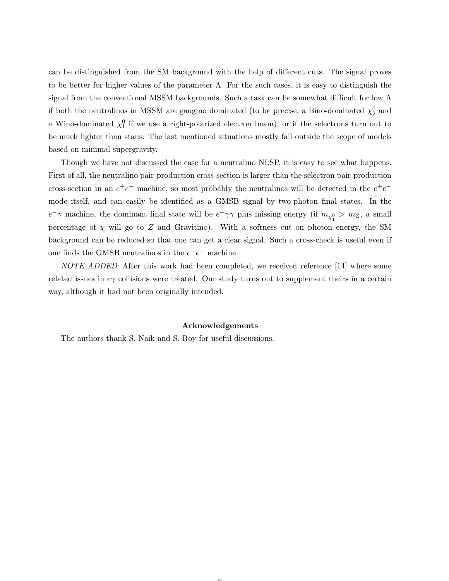can be distinguished from the SM background with the help of different cuts. The signal proves to be better for higher values of the parameter  $\Lambda$ . For the such cases, it is easy to distinguish the signal from the conventional MSSM backgrounds. Such a task can be somewhat difficult for low  $\Lambda$ if both the neutralinos in MSSM are gaugino dominated (to be precise, a Bino-dominated  $\chi_2^0$  and a Wino-dominated  $\chi_1^0$  if we use a right-polarized electron beam), or if the selectrons turn out to be much lighter than staus. The last mentioned situations mostly fall outside the scope of models based on minimal supergravity.

Though we have not discussed the case for a neutralino NLSP, it is easy to see what happens. First of all, the neutralino pair-production cross-section is larger than the selectron pair-production cross-section in an  $e^+e^-$  machine, so most probably the neutralinos will be detected in the  $e^+e^$ mode itself, and can easily be identified as a GMSB signal by two-photon final states. In the  $e^-\gamma$  machine, the dominant final state will be  $e^-\gamma\gamma$  plus missing energy (if  $m_{\chi_1^0} > m_Z$ , a small percentage of  $\chi$  will go to Z and Gravitino). With a softness cut on photon energy, the SM background can be reduced so that one can get a clear signal. Such a cross-check is useful even if one finds the GMSB neutralinos in the  $e^+e^-$  machine.

NOTE ADDED: After this work had been completed, we received reference [14] where some related issues in  $e\gamma$  collisions were treated. Our study turns out to supplement theirs in a certain way, although it had not been originally intended.

#### Acknowledgements

 $\rightarrow$ 

The authors thank S. Naik and S. Roy for useful discussions.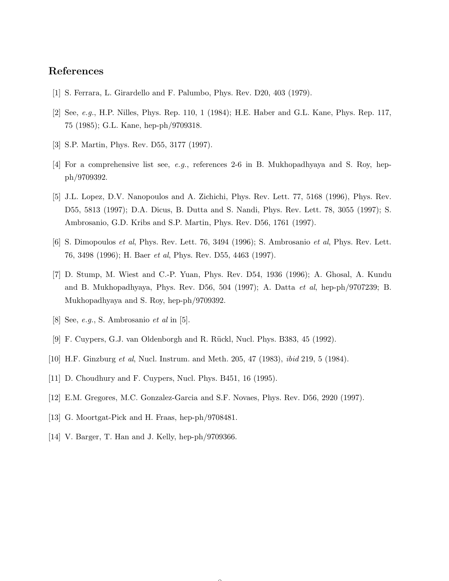## References

- [1] S. Ferrara, L. Girardello and F. Palumbo, Phys. Rev. D20, 403 (1979).
- [2] See, e.g., H.P. Nilles, Phys. Rep. 110, 1 (1984); H.E. Haber and G.L. Kane, Phys. Rep. 117, 75 (1985); G.L. Kane, hep-ph/9709318.
- [3] S.P. Martin, Phys. Rev. D55, 3177 (1997).
- [4] For a comprehensive list see, e.g., references 2-6 in B. Mukhopadhyaya and S. Roy, hepph/9709392.
- [5] J.L. Lopez, D.V. Nanopoulos and A. Zichichi, Phys. Rev. Lett. 77, 5168 (1996), Phys. Rev. D55, 5813 (1997); D.A. Dicus, B. Dutta and S. Nandi, Phys. Rev. Lett. 78, 3055 (1997); S. Ambrosanio, G.D. Kribs and S.P. Martin, Phys. Rev. D56, 1761 (1997).
- [6] S. Dimopoulos et al, Phys. Rev. Lett. 76, 3494 (1996); S. Ambrosanio et al, Phys. Rev. Lett. 76, 3498 (1996); H. Baer et al, Phys. Rev. D55, 4463 (1997).
- [7] D. Stump, M. Wiest and C.-P. Yuan, Phys. Rev. D54, 1936 (1996); A. Ghosal, A. Kundu and B. Mukhopadhyaya, Phys. Rev. D56, 504 (1997); A. Datta et al, hep-ph/9707239; B. Mukhopadhyaya and S. Roy, hep-ph/9709392.
- [8] See,  $e.g., S.$  Ambrosanio  $et \ al$  in [5].
- [9] F. Cuypers, G.J. van Oldenborgh and R. Rückl, Nucl. Phys. B383, 45 (1992).
- [10] H.F. Ginzburg et al, Nucl. Instrum. and Meth. 205, 47 (1983), ibid 219, 5 (1984).
- [11] D. Choudhury and F. Cuypers, Nucl. Phys. B451, 16 (1995).
- [12] E.M. Gregores, M.C. Gonzalez-Garcia and S.F. Novaes, Phys. Rev. D56, 2920 (1997).

- [13] G. Moortgat-Pick and H. Fraas, hep-ph/9708481.
- [14] V. Barger, T. Han and J. Kelly, hep-ph/9709366.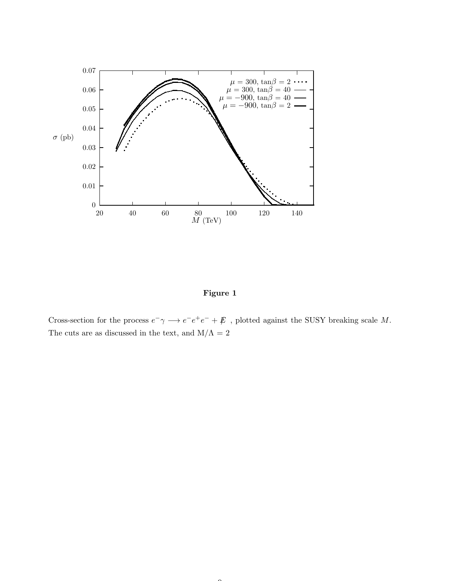

Figure 1

Cross-section for the process  $e^- \gamma \longrightarrow e^- e^+ e^- + \not\!\!E$ , plotted against the SUSY breaking scale M. The cuts are as discussed in the text, and  $M/\Lambda$  =  $2$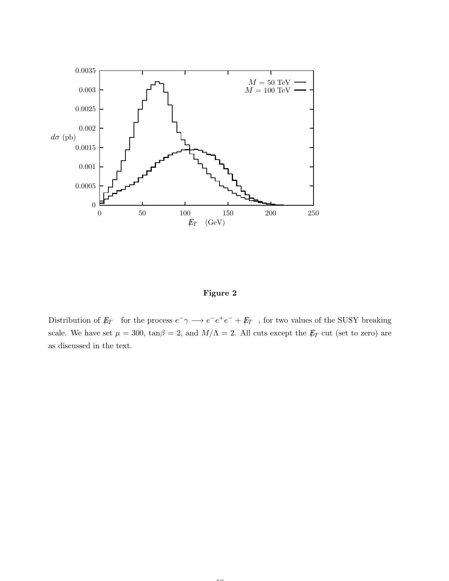

Figure 2

Distribution of  $E_T$  for the process  $e^- \gamma \longrightarrow e^- e^+ e^- + E_T$ , for two values of the SUSY breaking scale. We have set  $\mu = 300$ ,  $\tan\beta = 2$ , and  $M/\Lambda = 2$ . All cuts except the  $E_T$  cut (set to zero) are as discussed in the text.

 $\overline{10}$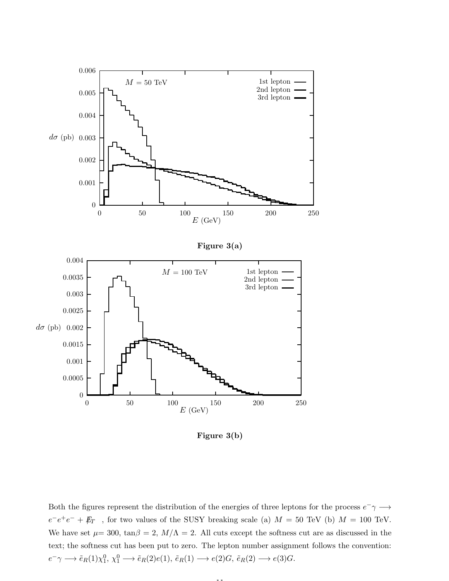

Figure 3(b)

Both the figures represent the distribution of the energies of three leptons for the process  $e^-\gamma \longrightarrow$  $e^-e^+e^- + \not{E}_T$ , for two values of the SUSY breaking scale (a)  $M = 50$  TeV (b)  $M = 100$  TeV. We have set  $\mu$  = 300, tan $\beta$  = 2,  $M/\Lambda$  = 2. All cuts except the softness cut are as discussed in the text; the softness cut has been put to zero. The lepton number assignment follows the convention:  $e^- \gamma \longrightarrow \tilde{e}_R(1) \chi_1^0, \chi_1^0 \longrightarrow \tilde{e}_R(2) e(1), \tilde{e}_R(1) \longrightarrow e(2)G, \tilde{e}_R(2) \longrightarrow e(3)G.$ 

11.11